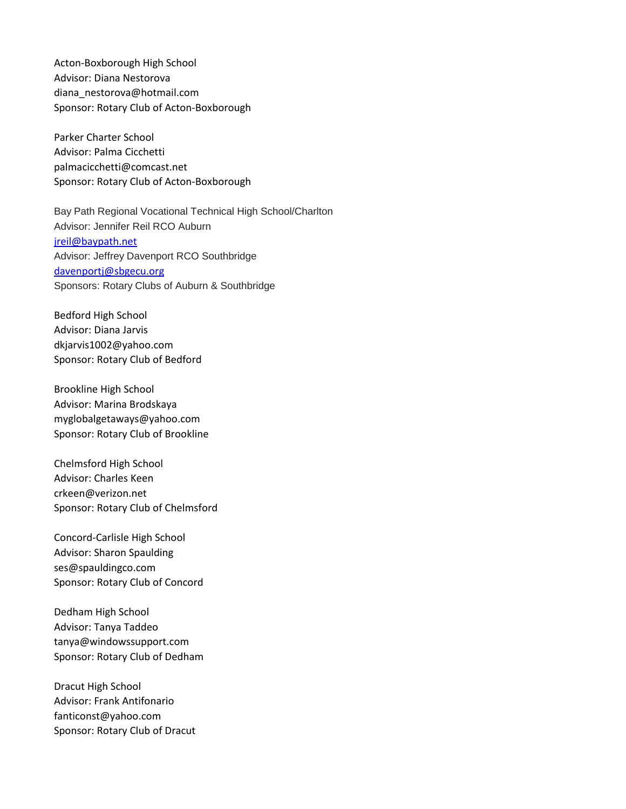Acton-Boxborough High School Advisor: Diana Nestorova diana\_nestorova@hotmail.com Sponsor: Rotary Club of Acton-Boxborough

Parker Charter School Advisor: Palma Cicchetti palmacicchetti@comcast.net Sponsor: Rotary Club of Acton-Boxborough

Bay Path Regional Vocational Technical High School/Charlton Advisor: Jennifer Reil RCO Auburn [jreil@baypath.net](mailto:jreil@baypath.net) Advisor: Jeffrey Davenport RCO Southbridge [davenportj@sbgecu.org](mailto:davenportj@sbgecu.org) Sponsors: Rotary Clubs of Auburn & Southbridge

Bedford High School Advisor: Diana Jarvis dkjarvis1002@yahoo.com Sponsor: Rotary Club of Bedford

Brookline High School Advisor: Marina Brodskaya myglobalgetaways@yahoo.com Sponsor: Rotary Club of Brookline

Chelmsford High School Advisor: Charles Keen crkeen@verizon.net Sponsor: Rotary Club of Chelmsford

Concord-Carlisle High School Advisor: Sharon Spaulding ses@spauldingco.com Sponsor: Rotary Club of Concord

Dedham High School Advisor: Tanya Taddeo tanya@windowssupport.com Sponsor: Rotary Club of Dedham

Dracut High School Advisor: Frank Antifonario fanticonst@yahoo.com Sponsor: Rotary Club of Dracut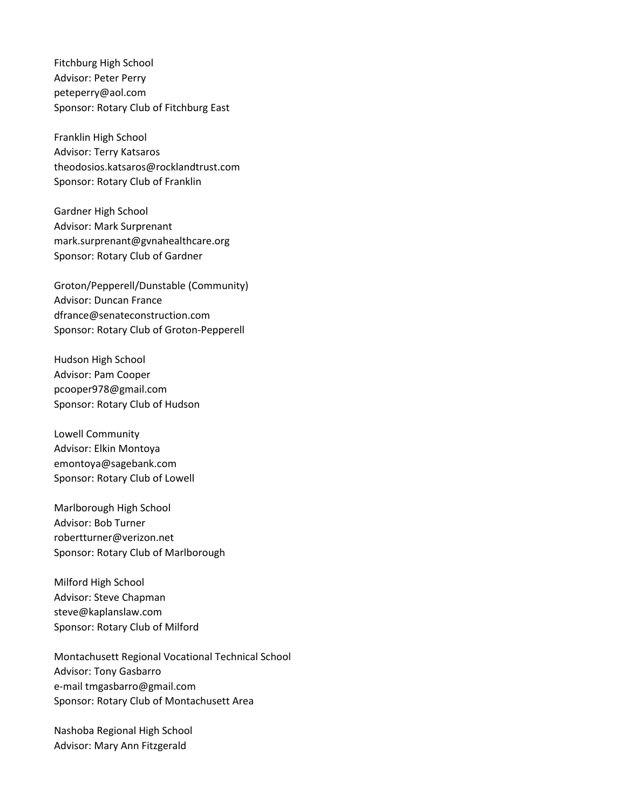Fitchburg High School Advisor: Peter Perry peteperry@aol.com Sponsor: Rotary Club of Fitchburg East

Franklin High School Advisor: Terry Katsaros theodosios.katsaros@rocklandtrust.com Sponsor: Rotary Club of Franklin

Gardner High School Advisor: Mark Surprenant mark.surprenant@gvnahealthcare.org Sponsor: Rotary Club of Gardner

Groton/Pepperell/Dunstable (Community) Advisor: Duncan France dfrance@senateconstruction.com Sponsor: Rotary Club of Groton-Pepperell

Hudson High School Advisor: Pam Cooper pcooper978@gmail.com Sponsor: Rotary Club of Hudson

Lowell Community Advisor: Elkin Montoya emontoya@sagebank.com Sponsor: Rotary Club of Lowell

Marlborough High School Advisor: Bob Turner robertturner@verizon.net Sponsor: Rotary Club of Marlborough

Milford High School Advisor: Steve Chapman steve@kaplanslaw.com Sponsor: Rotary Club of Milford

Montachusett Regional Vocational Technical School Advisor: Tony Gasbarro e-mail tmgasbarro@gmail.com Sponsor: Rotary Club of Montachusett Area

Nashoba Regional High School Advisor: Mary Ann Fitzgerald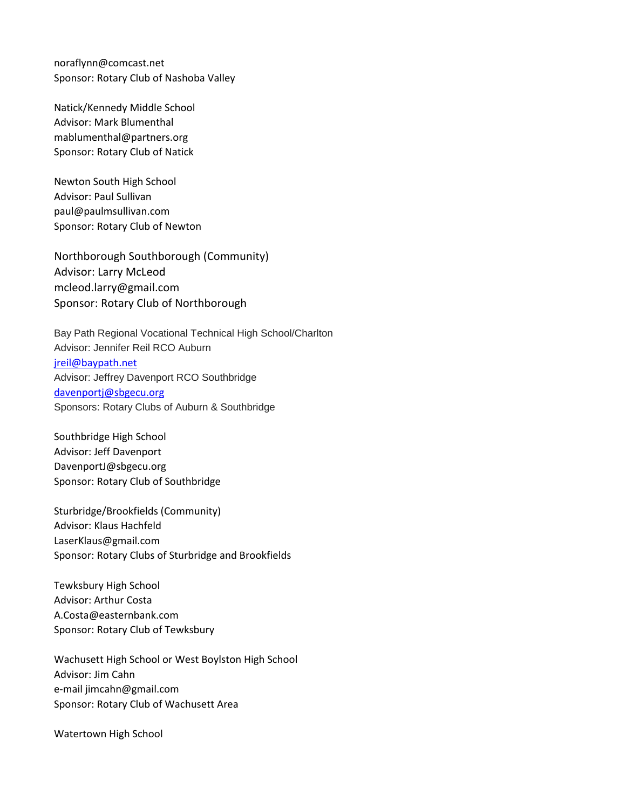noraflynn@comcast.net Sponsor: Rotary Club of Nashoba Valley

Natick/Kennedy Middle School Advisor: Mark Blumenthal mablumenthal@partners.org Sponsor: Rotary Club of Natick

Newton South High School Advisor: Paul Sullivan paul@paulmsullivan.com Sponsor: Rotary Club of Newton

Northborough Southborough (Community) Advisor: Larry McLeod mcleod.larry@gmail.com Sponsor: Rotary Club of Northborough

Bay Path Regional Vocational Technical High School/Charlton Advisor: Jennifer Reil RCO Auburn [jreil@baypath.net](mailto:jreil@baypath.net) Advisor: Jeffrey Davenport RCO Southbridge [davenportj@sbgecu.org](mailto:davenportj@sbgecu.org) Sponsors: Rotary Clubs of Auburn & Southbridge

Southbridge High School Advisor: Jeff Davenport DavenportJ@sbgecu.org Sponsor: Rotary Club of Southbridge

Sturbridge/Brookfields (Community) Advisor: Klaus Hachfeld LaserKlaus@gmail.com Sponsor: Rotary Clubs of Sturbridge and Brookfields

Tewksbury High School Advisor: Arthur Costa A.Costa@easternbank.com Sponsor: Rotary Club of Tewksbury

Wachusett High School or West Boylston High School Advisor: Jim Cahn e-mail jimcahn@gmail.com Sponsor: Rotary Club of Wachusett Area

Watertown High School